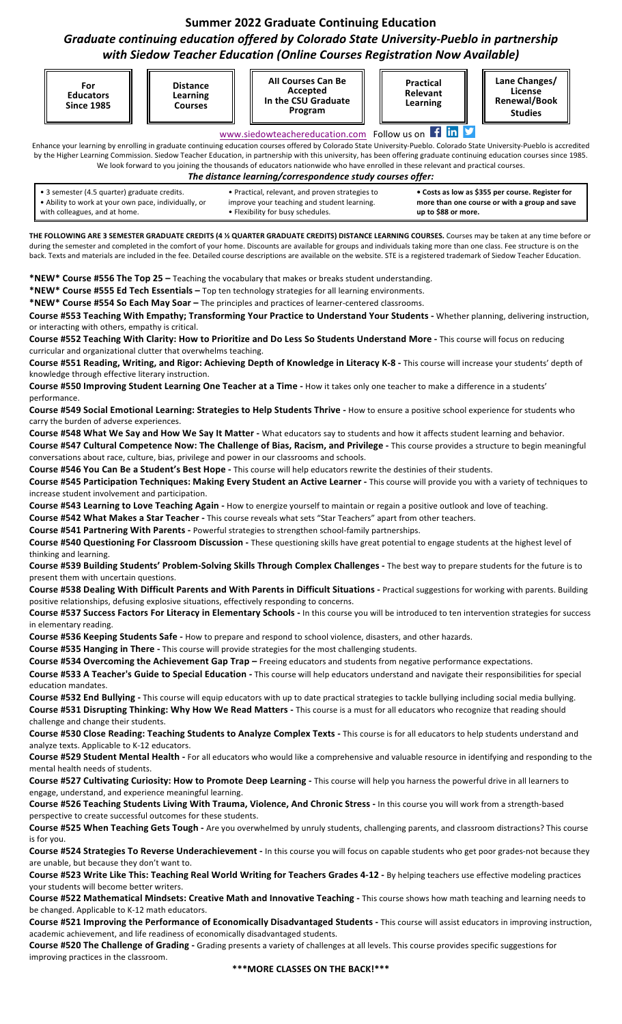## **Summer 2022 Graduate Continuing Education** Graduate continuing education offered by Colorado State University-Pueblo in partnership *with Siedow Teacher Education (Online Courses Registration Now Available)*

|              |                                                                                                                                       |                                                                 | with Siedow Teacher Education (Online Courses Registration Now Available)                                                                                                                                                                                                                                                                                             |                                          |                                                                                                   |
|--------------|---------------------------------------------------------------------------------------------------------------------------------------|-----------------------------------------------------------------|-----------------------------------------------------------------------------------------------------------------------------------------------------------------------------------------------------------------------------------------------------------------------------------------------------------------------------------------------------------------------|------------------------------------------|---------------------------------------------------------------------------------------------------|
|              | For<br><b>Educators</b><br><b>Since 1985</b>                                                                                          | <b>Distance</b><br>Learning<br><b>Courses</b>                   | <b>All Courses Can Be</b><br>Accepted<br>In the CSU Graduate<br>Program                                                                                                                                                                                                                                                                                               | <b>Practical</b><br>Relevant<br>Learning | Lane Changes/<br>License<br>Renewal/Book<br><b>Studies</b>                                        |
|              |                                                                                                                                       |                                                                 | www.siedowteachereducation.com Follow us on<br>Enhance your learning by enrolling in graduate continuing education courses offered by Colorado State University-Pueblo. Colorado State University-Pueblo is accredited                                                                                                                                                | $f$ in                                   |                                                                                                   |
|              |                                                                                                                                       |                                                                 | by the Higher Learning Commission. Siedow Teacher Education, in partnership with this university, has been offering graduate continuing education courses since 1985.<br>We look forward to you joining the thousands of educators nationwide who have enrolled in these relevant and practical courses.<br>The distance learning/correspondence study courses offer: |                                          |                                                                                                   |
|              | • 3 semester (4.5 quarter) graduate credits.<br>• Ability to work at your own pace, individually, or<br>with colleagues, and at home. |                                                                 | • Practical, relevant, and proven strategies to<br>improve your teaching and student learning.<br>• Flexibility for busy schedules.                                                                                                                                                                                                                                   | up to \$88 or more.                      | • Costs as low as \$355 per course. Register for<br>more than one course or with a group and save |
|              |                                                                                                                                       |                                                                 | THE FOLLOWING ARE 3 SEMESTER GRADUATE CREDITS (4 % QUARTER GRADUATE CREDITS) DISTANCE LEARNING COURSES. Courses may be taken at any time before or                                                                                                                                                                                                                    |                                          |                                                                                                   |
|              |                                                                                                                                       |                                                                 | during the semester and completed in the comfort of your home. Discounts are available for groups and individuals taking more than one class. Fee structure is on the<br>back. Texts and materials are included in the fee. Detailed course descriptions are available on the website. STE is a registered trademark of Siedow Teacher Education.                     |                                          |                                                                                                   |
|              |                                                                                                                                       |                                                                 | *NEW* Course #556 The Top 25 - Teaching the vocabulary that makes or breaks student understanding.                                                                                                                                                                                                                                                                    |                                          |                                                                                                   |
|              |                                                                                                                                       |                                                                 | *NEW* Course #555 Ed Tech Essentials - Top ten technology strategies for all learning environments.<br>*NEW* Course #554 So Each May Soar - The principles and practices of learner-centered classrooms.                                                                                                                                                              |                                          |                                                                                                   |
|              |                                                                                                                                       |                                                                 | Course #553 Teaching With Empathy; Transforming Your Practice to Understand Your Students - Whether planning, delivering instruction,                                                                                                                                                                                                                                 |                                          |                                                                                                   |
|              | or interacting with others, empathy is critical.                                                                                      |                                                                 |                                                                                                                                                                                                                                                                                                                                                                       |                                          |                                                                                                   |
|              |                                                                                                                                       | curricular and organizational clutter that overwhelms teaching. | Course #552 Teaching With Clarity: How to Prioritize and Do Less So Students Understand More - This course will focus on reducing                                                                                                                                                                                                                                     |                                          |                                                                                                   |
|              |                                                                                                                                       |                                                                 | Course #551 Reading, Writing, and Rigor: Achieving Depth of Knowledge in Literacy K-8 - This course will increase your students' depth of                                                                                                                                                                                                                             |                                          |                                                                                                   |
|              | knowledge through effective literary instruction.                                                                                     |                                                                 | Course #550 Improving Student Learning One Teacher at a Time - How it takes only one teacher to make a difference in a students'                                                                                                                                                                                                                                      |                                          |                                                                                                   |
| performance. |                                                                                                                                       |                                                                 |                                                                                                                                                                                                                                                                                                                                                                       |                                          |                                                                                                   |
|              |                                                                                                                                       |                                                                 | Course #549 Social Emotional Learning: Strategies to Help Students Thrive - How to ensure a positive school experience for students who                                                                                                                                                                                                                               |                                          |                                                                                                   |
|              | carry the burden of adverse experiences.                                                                                              |                                                                 | Course #548 What We Say and How We Say It Matter - What educators say to students and how it affects student learning and behavior.                                                                                                                                                                                                                                   |                                          |                                                                                                   |
|              |                                                                                                                                       |                                                                 | Course #547 Cultural Competence Now: The Challenge of Bias, Racism, and Privilege - This course provides a structure to begin meaningful                                                                                                                                                                                                                              |                                          |                                                                                                   |
|              |                                                                                                                                       |                                                                 | conversations about race, culture, bias, privilege and power in our classrooms and schools.<br>Course #546 You Can Be a Student's Best Hope - This course will help educators rewrite the destinies of their students.                                                                                                                                                |                                          |                                                                                                   |
|              |                                                                                                                                       |                                                                 | Course #545 Participation Techniques: Making Every Student an Active Learner - This course will provide you with a variety of techniques to                                                                                                                                                                                                                           |                                          |                                                                                                   |
|              | increase student involvement and participation.                                                                                       |                                                                 |                                                                                                                                                                                                                                                                                                                                                                       |                                          |                                                                                                   |
|              |                                                                                                                                       |                                                                 | Course #543 Learning to Love Teaching Again - How to energize yourself to maintain or regain a positive outlook and love of teaching.                                                                                                                                                                                                                                 |                                          |                                                                                                   |
|              |                                                                                                                                       |                                                                 | Course #542 What Makes a Star Teacher - This course reveals what sets "Star Teachers" apart from other teachers.<br>Course #541 Partnering With Parents - Powerful strategies to strengthen school-family partnerships.                                                                                                                                               |                                          |                                                                                                   |
|              |                                                                                                                                       |                                                                 | Course #540 Questioning For Classroom Discussion - These questioning skills have great potential to engage students at the highest level of                                                                                                                                                                                                                           |                                          |                                                                                                   |
|              | thinking and learning.                                                                                                                |                                                                 |                                                                                                                                                                                                                                                                                                                                                                       |                                          |                                                                                                   |
|              | present them with uncertain questions.                                                                                                |                                                                 | Course #539 Building Students' Problem-Solving Skills Through Complex Challenges - The best way to prepare students for the future is to                                                                                                                                                                                                                              |                                          |                                                                                                   |
|              |                                                                                                                                       |                                                                 | Course #538 Dealing With Difficult Parents and With Parents in Difficult Situations - Practical suggestions for working with parents. Building                                                                                                                                                                                                                        |                                          |                                                                                                   |
|              |                                                                                                                                       |                                                                 | positive relationships, defusing explosive situations, effectively responding to concerns.                                                                                                                                                                                                                                                                            |                                          |                                                                                                   |
|              | in elementary reading.                                                                                                                |                                                                 | Course #537 Success Factors For Literacy in Elementary Schools - In this course you will be introduced to ten intervention strategies for success                                                                                                                                                                                                                     |                                          |                                                                                                   |
|              |                                                                                                                                       |                                                                 | Course #536 Keeping Students Safe - How to prepare and respond to school violence, disasters, and other hazards.                                                                                                                                                                                                                                                      |                                          |                                                                                                   |
|              |                                                                                                                                       |                                                                 | Course #535 Hanging in There - This course will provide strategies for the most challenging students.                                                                                                                                                                                                                                                                 |                                          |                                                                                                   |
|              |                                                                                                                                       |                                                                 | Course #534 Overcoming the Achievement Gap Trap - Freeing educators and students from negative performance expectations.<br>Course #533 A Teacher's Guide to Special Education - This course will help educators understand and navigate their responsibilities for special                                                                                           |                                          |                                                                                                   |
|              | education mandates.                                                                                                                   |                                                                 |                                                                                                                                                                                                                                                                                                                                                                       |                                          |                                                                                                   |
|              |                                                                                                                                       |                                                                 | Course #532 End Bullying - This course will equip educators with up to date practical strategies to tackle bullying including social media bullying.                                                                                                                                                                                                                  |                                          |                                                                                                   |
|              | challenge and change their students.                                                                                                  |                                                                 | Course #531 Disrupting Thinking: Why How We Read Matters - This course is a must for all educators who recognize that reading should                                                                                                                                                                                                                                  |                                          |                                                                                                   |
|              |                                                                                                                                       |                                                                 | Course #530 Close Reading: Teaching Students to Analyze Complex Texts - This course is for all educators to help students understand and                                                                                                                                                                                                                              |                                          |                                                                                                   |
|              | analyze texts. Applicable to K-12 educators.                                                                                          |                                                                 | Course #529 Student Mental Health - For all educators who would like a comprehensive and valuable resource in identifying and responding to the                                                                                                                                                                                                                       |                                          |                                                                                                   |
|              | mental health needs of students.                                                                                                      |                                                                 |                                                                                                                                                                                                                                                                                                                                                                       |                                          |                                                                                                   |
|              |                                                                                                                                       |                                                                 | Course #527 Cultivating Curiosity: How to Promote Deep Learning - This course will help you harness the powerful drive in all learners to                                                                                                                                                                                                                             |                                          |                                                                                                   |
|              |                                                                                                                                       | engage, understand, and experience meaningful learning.         | Course #526 Teaching Students Living With Trauma, Violence, And Chronic Stress - In this course you will work from a strength-based                                                                                                                                                                                                                                   |                                          |                                                                                                   |
|              |                                                                                                                                       | perspective to create successful outcomes for these students.   |                                                                                                                                                                                                                                                                                                                                                                       |                                          |                                                                                                   |
|              |                                                                                                                                       |                                                                 | Course #525 When Teaching Gets Tough - Are you overwhelmed by unruly students, challenging parents, and classroom distractions? This course                                                                                                                                                                                                                           |                                          |                                                                                                   |
| is for you.  |                                                                                                                                       |                                                                 | Course #524 Strategies To Reverse Underachievement - In this course you will focus on capable students who get poor grades-not because they                                                                                                                                                                                                                           |                                          |                                                                                                   |
|              | are unable, but because they don't want to.                                                                                           |                                                                 |                                                                                                                                                                                                                                                                                                                                                                       |                                          |                                                                                                   |
|              |                                                                                                                                       |                                                                 | Course #523 Write Like This: Teaching Real World Writing for Teachers Grades 4-12 - By helping teachers use effective modeling practices                                                                                                                                                                                                                              |                                          |                                                                                                   |
|              | your students will become better writers.                                                                                             |                                                                 | Course #522 Mathematical Mindsets: Creative Math and Innovative Teaching - This course shows how math teaching and learning needs to                                                                                                                                                                                                                                  |                                          |                                                                                                   |
|              | be changed. Applicable to K-12 math educators.                                                                                        |                                                                 |                                                                                                                                                                                                                                                                                                                                                                       |                                          |                                                                                                   |
|              |                                                                                                                                       |                                                                 | Course #521 Improving the Performance of Economically Disadvantaged Students - This course will assist educators in improving instruction,                                                                                                                                                                                                                            |                                          |                                                                                                   |
|              | $\mu$ as $\mu$ and $\pi$ is a classification of Characteristic set                                                                    |                                                                 | academic achievement, and life readiness of economically disadvantaged students.                                                                                                                                                                                                                                                                                      |                                          |                                                                                                   |

Course #520 The Challenge of Grading - Grading presents a variety of challenges at all levels. This course provides specific suggestions for improving practices in the classroom.

**\*\*\*MORE CLASSES ON THE BACK!\*\*\***